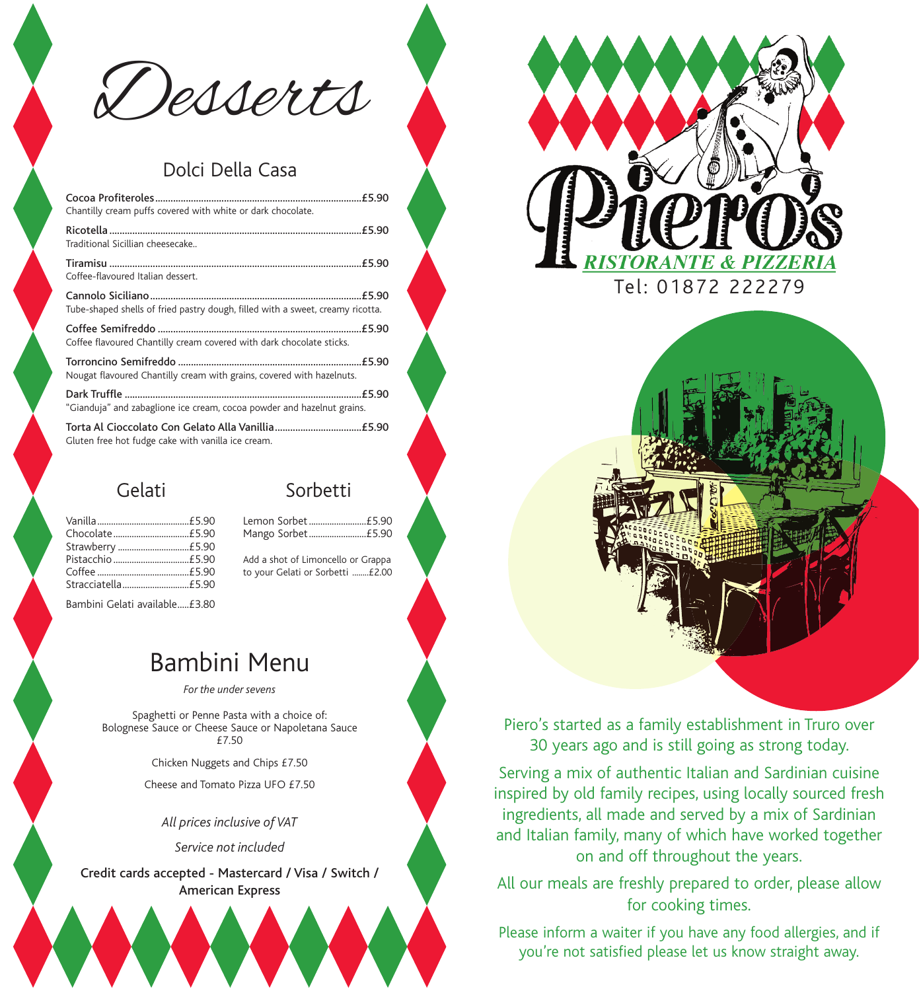Desserts

## Dolci Della Casa

| Chantilly cream puffs covered with white or dark chocolate.                    |  |
|--------------------------------------------------------------------------------|--|
| Traditional Sicillian cheesecake                                               |  |
| Coffee-flavoured Italian dessert.                                              |  |
| Tube-shaped shells of fried pastry dough, filled with a sweet, creamy ricotta. |  |
| Coffee flavoured Chantilly cream covered with dark chocolate sticks.           |  |
| Nougat flavoured Chantilly cream with grains, covered with hazelnuts.          |  |
| "Gianduja" and zabaglione ice cream, cocoa powder and hazelnut grains.         |  |
| Gluten free hot fudge cake with vanilla ice cream.                             |  |

## Gelati

| Sorbetti |
|----------|
|----------|

Lemon Sorbet.........................£5.90 Mango Sorbet.........................£5.90

Add a shot of Limoncello or Grappa to your Gelati or Sorbetti ........£2.00

Bambini Gelati available.....£3.80

# Bambini Menu

*For the under sevens*

Spaghetti or Penne Pasta with a choice of: Bolognese Sauce or Cheese Sauce or Napoletana Sauce £7.50

Chicken Nuggets and Chips £7.50

Cheese and Tomato Pizza UFO £7.50

*All prices inclusive of VAT* 

*Service not included* 

Credit cards accepted - Mastercard / Visa / Switch / American Express



Piero's started as a family establishment in Truro over 30 years ago and is still going as strong today.

Serving a mix of authentic Italian and Sardinian cuisine inspired by old family recipes, using locally sourced fresh ingredients, all made and served by a mix of Sardinian and Italian family, many of which have worked together on and off throughout the years.

All our meals are freshly prepared to order, please allow for cooking times.

Please inform a waiter if you have any food allergies, and if you're not satisfied please let us know straight away.